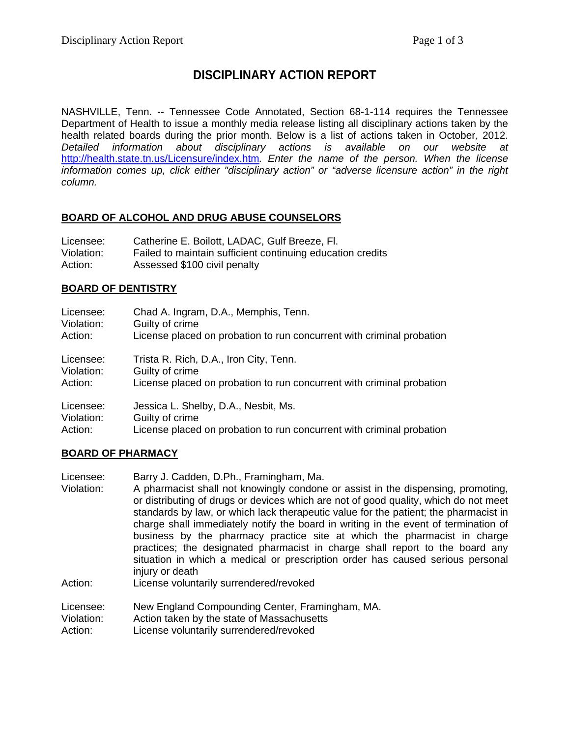# **DISCIPLINARY ACTION REPORT**

NASHVILLE, Tenn. -- Tennessee Code Annotated, Section 68-1-114 requires the Tennessee Department of Health to issue a monthly media release listing all disciplinary actions taken by the health related boards during the prior month. Below is a list of actions taken in October, 2012. *Detailed information about disciplinary actions is available on our website at*  <http://health.state.tn.us/Licensure/index.htm>*. Enter the name of the person. When the license information comes up, click either "disciplinary action" or "adverse licensure action" in the right column.*

#### **BOARD OF ALCOHOL AND DRUG ABUSE COUNSELORS**

| Licensee:  | Catherine E. Boilott, LADAC, Gulf Breeze, Fl.              |
|------------|------------------------------------------------------------|
| Violation: | Failed to maintain sufficient continuing education credits |
| Action:    | Assessed \$100 civil penalty                               |

#### **BOARD OF DENTISTRY**

| Licensee:  | Chad A. Ingram, D.A., Memphis, Tenn.                                  |
|------------|-----------------------------------------------------------------------|
| Violation: | Guilty of crime                                                       |
| Action:    | License placed on probation to run concurrent with criminal probation |
| Licensee:  | Trista R. Rich, D.A., Iron City, Tenn.                                |
| Violation: | Guilty of crime                                                       |
| Action:    | License placed on probation to run concurrent with criminal probation |
| Licensee:  | Jessica L. Shelby, D.A., Nesbit, Ms.                                  |
| Violation: | Guilty of crime                                                       |
| Action:    | License placed on probation to run concurrent with criminal probation |

#### **BOARD OF PHARMACY**

| Licensee:  | Barry J. Cadden, D.Ph., Framingham, Ma.                                              |
|------------|--------------------------------------------------------------------------------------|
| Violation: | A pharmacist shall not knowingly condone or assist in the dispensing, promoting,     |
|            | or distributing of drugs or devices which are not of good quality, which do not meet |
|            | standards by law, or which lack therapeutic value for the patient; the pharmacist in |
|            | charge shall immediately notify the board in writing in the event of termination of  |
|            | business by the pharmacy practice site at which the pharmacist in charge             |
|            | practices; the designated pharmacist in charge shall report to the board any         |
|            | situation in which a medical or prescription order has caused serious personal       |
|            | injury or death                                                                      |
| Action:    | License voluntarily surrendered/revoked                                              |
| Licensee:  | New England Compounding Center, Framingham, MA.                                      |
| Violation: | Action taken by the state of Massachusetts                                           |
| Action:    | License voluntarily surrendered/revoked                                              |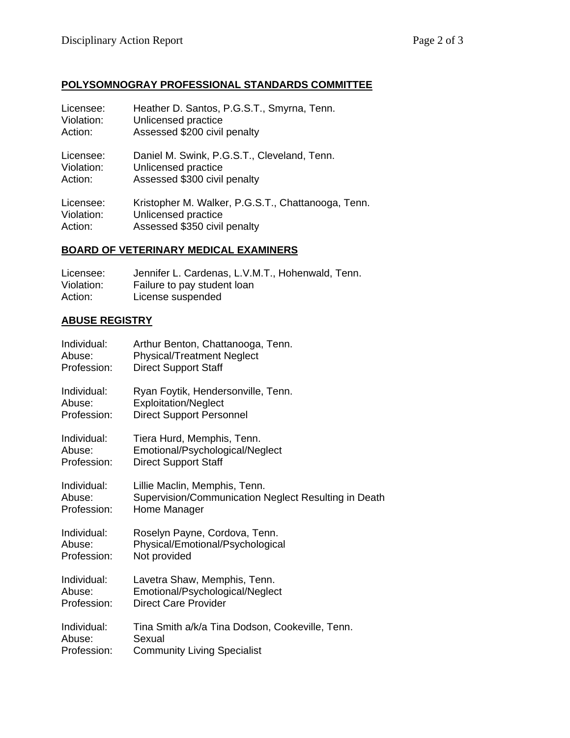# **POLYSOMNOGRAY PROFESSIONAL STANDARDS COMMITTEE**

| Licensee:  | Heather D. Santos, P.G.S.T., Smyrna, Tenn.         |
|------------|----------------------------------------------------|
| Violation: | Unlicensed practice                                |
| Action:    | Assessed \$200 civil penalty                       |
| Licensee:  | Daniel M. Swink, P.G.S.T., Cleveland, Tenn.        |
| Violation: | Unlicensed practice                                |
| Action:    | Assessed \$300 civil penalty                       |
| Licensee:  | Kristopher M. Walker, P.G.S.T., Chattanooga, Tenn. |
| Violation: | Unlicensed practice                                |
| Action:    | Assessed \$350 civil penalty                       |

## **BOARD OF VETERINARY MEDICAL EXAMINERS**

| Licensee:  | Jennifer L. Cardenas, L.V.M.T., Hohenwald, Tenn. |
|------------|--------------------------------------------------|
| Violation: | Failure to pay student loan                      |
| Action:    | License suspended                                |

## **ABUSE REGISTRY**

| Individual: | Arthur Benton, Chattanooga, Tenn.                    |
|-------------|------------------------------------------------------|
| Abuse:      | <b>Physical/Treatment Neglect</b>                    |
| Profession: | <b>Direct Support Staff</b>                          |
| Individual: | Ryan Foytik, Hendersonville, Tenn.                   |
| Abuse:      | <b>Exploitation/Neglect</b>                          |
| Profession: | <b>Direct Support Personnel</b>                      |
| Individual: | Tiera Hurd, Memphis, Tenn.                           |
| Abuse:      | Emotional/Psychological/Neglect                      |
| Profession: | <b>Direct Support Staff</b>                          |
| Individual: | Lillie Maclin, Memphis, Tenn.                        |
| Abuse:      | Supervision/Communication Neglect Resulting in Death |
| Profession: | Home Manager                                         |
| Individual: | Roselyn Payne, Cordova, Tenn.                        |
| Abuse:      | Physical/Emotional/Psychological                     |
| Profession: | Not provided                                         |
| Individual: | Lavetra Shaw, Memphis, Tenn.                         |
| Abuse:      | Emotional/Psychological/Neglect                      |
| Profession: | <b>Direct Care Provider</b>                          |
| Individual: | Tina Smith a/k/a Tina Dodson, Cookeville, Tenn.      |
| Abuse:      | Sexual                                               |
| Profession: | <b>Community Living Specialist</b>                   |